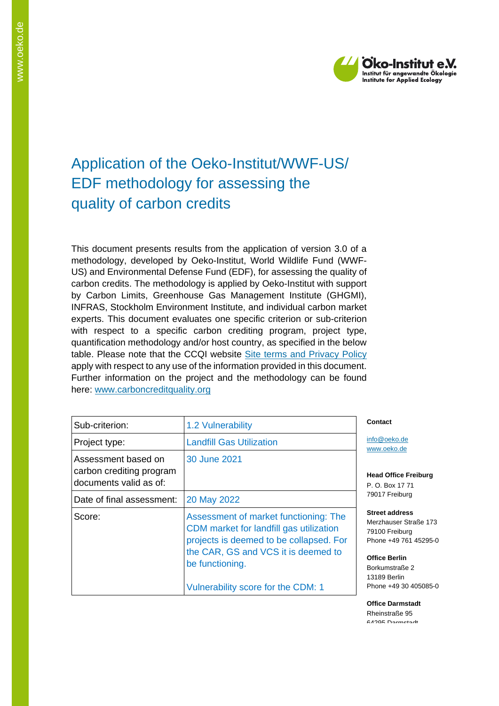

# Application of the Oeko-Institut/WWF-US/ EDF methodology for assessing the quality of carbon credits

This document presents results from the application of version 3.0 of a methodology, developed by Oeko-Institut, World Wildlife Fund (WWF-US) and Environmental Defense Fund (EDF), for assessing the quality of carbon credits. The methodology is applied by Oeko-Institut with support by Carbon Limits, Greenhouse Gas Management Institute (GHGMI), INFRAS, Stockholm Environment Institute, and individual carbon market experts. This document evaluates one specific criterion or sub-criterion with respect to a specific carbon crediting program, project type, quantification methodology and/or host country, as specified in the below table. Please note that the CCQI website [Site terms and Privacy Policy](https://carboncreditquality.org/terms.html) apply with respect to any use of the information provided in this document. Further information on the project and the methodology can be found here: [www.carboncreditquality.org](http://www.carboncreditquality.org/)

| Sub-criterion:                                                            | 1.2 Vulnerability                                                                                                                                                                                                           |  |
|---------------------------------------------------------------------------|-----------------------------------------------------------------------------------------------------------------------------------------------------------------------------------------------------------------------------|--|
| Project type:                                                             | <b>Landfill Gas Utilization</b>                                                                                                                                                                                             |  |
| Assessment based on<br>carbon crediting program<br>documents valid as of: | 30 June 2021                                                                                                                                                                                                                |  |
| Date of final assessment:                                                 | 20 May 2022                                                                                                                                                                                                                 |  |
| Score:                                                                    | Assessment of market functioning: The<br>CDM market for landfill gas utilization<br>projects is deemed to be collapsed. For<br>the CAR, GS and VCS it is deemed to<br>be functioning.<br>Vulnerability score for the CDM: 1 |  |

#### **Contact**

[info@oeko.de](mailto:info@oeko.de) [www.oeko.de](http://www.oeko.de/)

**Head Office Freiburg** P. O. Box 17 71 79017 Freiburg

**Street address** Merzhauser Straße 173 79100 Freiburg Phone +49 761 45295-0

**Office Berlin** Borkumstraße 2 13189 Berlin Phone +49 30 405085-0

**Office Darmstadt** Rheinstraße 95 64295 Darmstadt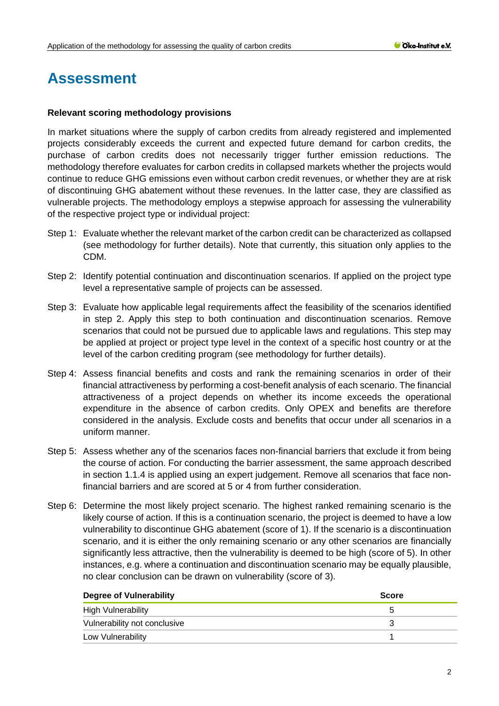## **Assessment**

## **Relevant scoring methodology provisions**

In market situations where the supply of carbon credits from already registered and implemented projects considerably exceeds the current and expected future demand for carbon credits, the purchase of carbon credits does not necessarily trigger further emission reductions. The methodology therefore evaluates for carbon credits in collapsed markets whether the projects would continue to reduce GHG emissions even without carbon credit revenues, or whether they are at risk of discontinuing GHG abatement without these revenues. In the latter case, they are classified as vulnerable projects. The methodology employs a stepwise approach for assessing the vulnerability of the respective project type or individual project:

- Step 1: Evaluate whether the relevant market of the carbon credit can be characterized as collapsed (see methodology for further details). Note that currently, this situation only applies to the CDM.
- Step 2: Identify potential continuation and discontinuation scenarios. If applied on the project type level a representative sample of projects can be assessed.
- Step 3: Evaluate how applicable legal requirements affect the feasibility of the scenarios identified in step 2. Apply this step to both continuation and discontinuation scenarios. Remove scenarios that could not be pursued due to applicable laws and regulations. This step may be applied at project or project type level in the context of a specific host country or at the level of the carbon crediting program (see methodology for further details).
- Step 4: Assess financial benefits and costs and rank the remaining scenarios in order of their financial attractiveness by performing a cost-benefit analysis of each scenario. The financial attractiveness of a project depends on whether its income exceeds the operational expenditure in the absence of carbon credits. Only OPEX and benefits are therefore considered in the analysis. Exclude costs and benefits that occur under all scenarios in a uniform manner.
- Step 5: Assess whether any of the scenarios faces non-financial barriers that exclude it from being the course of action. For conducting the barrier assessment, the same approach described in section 1.1.4 is applied using an expert judgement. Remove all scenarios that face nonfinancial barriers and are scored at 5 or 4 from further consideration.
- Step 6: Determine the most likely project scenario. The highest ranked remaining scenario is the likely course of action. If this is a continuation scenario, the project is deemed to have a low vulnerability to discontinue GHG abatement (score of 1). If the scenario is a discontinuation scenario, and it is either the only remaining scenario or any other scenarios are financially significantly less attractive, then the vulnerability is deemed to be high (score of 5). In other instances, e.g. where a continuation and discontinuation scenario may be equally plausible, no clear conclusion can be drawn on vulnerability (score of 3).

| <b>Degree of Vulnerability</b> | <b>Score</b>         |
|--------------------------------|----------------------|
| High Vulnerability             | $\ddot{\phantom{1}}$ |
| Vulnerability not conclusive   |                      |
| Low Vulnerability              |                      |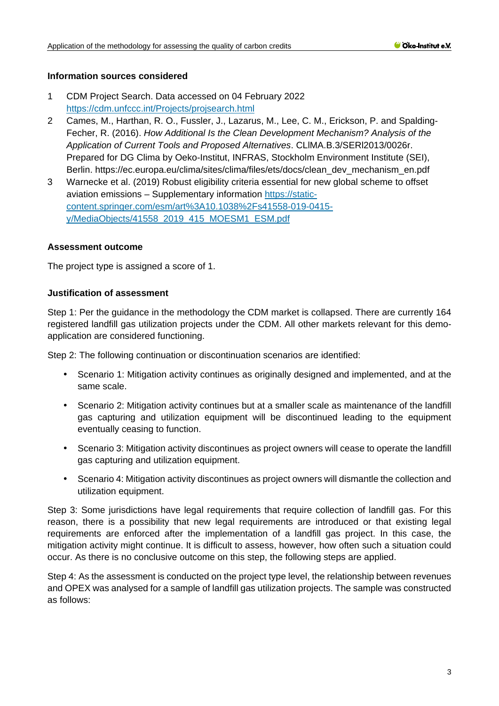## **Information sources considered**

- 1 CDM Project Search. Data accessed on 04 February 2022 <https://cdm.unfccc.int/Projects/projsearch.html>
- 2 Cames, M., Harthan, R. O., Fussler, J., Lazarus, M., Lee, C. M., Erickson, P. and Spalding-Fecher, R. (2016). *How Additional Is the Clean Development Mechanism? Analysis of the Application of Current Tools and Proposed Alternatives*. CLlMA.B.3/SERl2013/0026r. Prepared for DG Clima by Oeko-Institut, INFRAS, Stockholm Environment Institute (SEI), Berlin. [https://ec.europa.eu/clima/sites/clima/files/ets/docs/clean\\_dev\\_mechanism\\_en.pdf](https://ec.europa.eu/clima/sites/clima/files/ets/docs/clean_dev_mechanism_en.pdf)
- 3 Warnecke et al. (2019) Robust eligibility criteria essential for new global scheme to offset aviation emissions – Supplementary information [https://static](https://static-content.springer.com/esm/art%3A10.1038%2Fs41558-019-0415-y/MediaObjects/41558_2019_415_MOESM1_ESM.pdf)[content.springer.com/esm/art%3A10.1038%2Fs41558-019-0415](https://static-content.springer.com/esm/art%3A10.1038%2Fs41558-019-0415-y/MediaObjects/41558_2019_415_MOESM1_ESM.pdf) [y/MediaObjects/41558\\_2019\\_415\\_MOESM1\\_ESM.pdf](https://static-content.springer.com/esm/art%3A10.1038%2Fs41558-019-0415-y/MediaObjects/41558_2019_415_MOESM1_ESM.pdf)

#### **Assessment outcome**

The project type is assigned a score of 1.

#### **Justification of assessment**

Step 1: Per the guidance in the methodology the CDM market is collapsed. There are currently 164 registered landfill gas utilization projects under the CDM. All other markets relevant for this demoapplication are considered functioning.

Step 2: The following continuation or discontinuation scenarios are identified:

- Scenario 1: Mitigation activity continues as originally designed and implemented, and at the same scale.
- Scenario 2: Mitigation activity continues but at a smaller scale as maintenance of the landfill gas capturing and utilization equipment will be discontinued leading to the equipment eventually ceasing to function.
- $\mathcal{L}^{\text{max}}$ Scenario 3: Mitigation activity discontinues as project owners will cease to operate the landfill gas capturing and utilization equipment.
- Scenario 4: Mitigation activity discontinues as project owners will dismantle the collection and utilization equipment.

Step 3: Some jurisdictions have legal requirements that require collection of landfill gas. For this reason, there is a possibility that new legal requirements are introduced or that existing legal requirements are enforced after the implementation of a landfill gas project. In this case, the mitigation activity might continue. It is difficult to assess, however, how often such a situation could occur. As there is no conclusive outcome on this step, the following steps are applied.

Step 4: As the assessment is conducted on the project type level, the relationship between revenues and OPEX was analysed for a sample of landfill gas utilization projects. The sample was constructed as follows: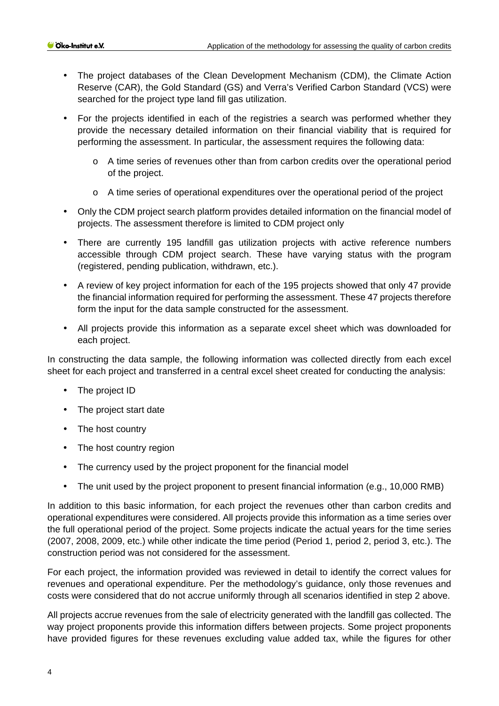- The project databases of the Clean Development Mechanism (CDM), the Climate Action Reserve (CAR), the Gold Standard (GS) and Verra's Verified Carbon Standard (VCS) were searched for the project type land fill gas utilization.
- For the projects identified in each of the registries a search was performed whether they  $\mathcal{L}^{\text{max}}$ provide the necessary detailed information on their financial viability that is required for performing the assessment. In particular, the assessment requires the following data:
	- o A time series of revenues other than from carbon credits over the operational period of the project.
	- $\circ$  A time series of operational expenditures over the operational period of the project
- Only the CDM project search platform provides detailed information on the financial model of  $\hat{\mathbf{r}}$ projects. The assessment therefore is limited to CDM project only
- There are currently 195 landfill gas utilization projects with active reference numbers accessible through CDM project search. These have varying status with the program (registered, pending publication, withdrawn, etc.).
- A review of key project information for each of the 195 projects showed that only 47 provide the financial information required for performing the assessment. These 47 projects therefore form the input for the data sample constructed for the assessment.
- All projects provide this information as a separate excel sheet which was downloaded for each project.

In constructing the data sample, the following information was collected directly from each excel sheet for each project and transferred in a central excel sheet created for conducting the analysis:

- The project ID
- The project start date  $\mathcal{L}$
- $\mathbf{r}$ The host country
- The host country region  $\mathbf{r}$
- The currency used by the project proponent for the financial model  $\overline{\phantom{a}}$
- The unit used by the project proponent to present financial information (e.g., 10,000 RMB)  $\ddot{\phantom{a}}$

In addition to this basic information, for each project the revenues other than carbon credits and operational expenditures were considered. All projects provide this information as a time series over the full operational period of the project. Some projects indicate the actual years for the time series (2007, 2008, 2009, etc.) while other indicate the time period (Period 1, period 2, period 3, etc.). The construction period was not considered for the assessment.

For each project, the information provided was reviewed in detail to identify the correct values for revenues and operational expenditure. Per the methodology's guidance, only those revenues and costs were considered that do not accrue uniformly through all scenarios identified in step 2 above.

All projects accrue revenues from the sale of electricity generated with the landfill gas collected. The way project proponents provide this information differs between projects. Some project proponents have provided figures for these revenues excluding value added tax, while the figures for other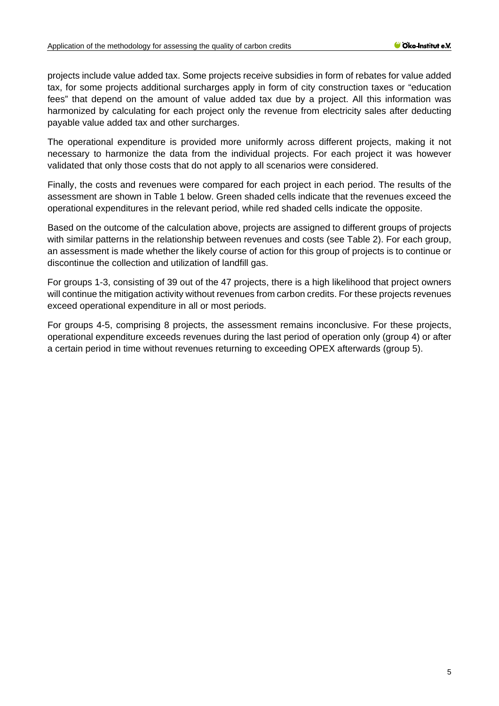projects include value added tax. Some projects receive subsidies in form of rebates for value added tax, for some projects additional surcharges apply in form of city construction taxes or "education fees" that depend on the amount of value added tax due by a project. All this information was harmonized by calculating for each project only the revenue from electricity sales after deducting payable value added tax and other surcharges.

The operational expenditure is provided more uniformly across different projects, making it not necessary to harmonize the data from the individual projects. For each project it was however validated that only those costs that do not apply to all scenarios were considered.

Finally, the costs and revenues were compared for each project in each period. The results of the assessment are shown in [Table 1](#page-5-0) below. Green shaded cells indicate that the revenues exceed the operational expenditures in the relevant period, while red shaded cells indicate the opposite.

Based on the outcome of the calculation above, projects are assigned to different groups of projects with similar patterns in the relationship between revenues and costs (see [Table 2\)](#page-7-0). For each group, an assessment is made whether the likely course of action for this group of projects is to continue or discontinue the collection and utilization of landfill gas.

For groups 1-3, consisting of 39 out of the 47 projects, there is a high likelihood that project owners will continue the mitigation activity without revenues from carbon credits. For these projects revenues exceed operational expenditure in all or most periods.

For groups 4-5, comprising 8 projects, the assessment remains inconclusive. For these projects, operational expenditure exceeds revenues during the last period of operation only (group 4) or after a certain period in time without revenues returning to exceeding OPEX afterwards (group 5).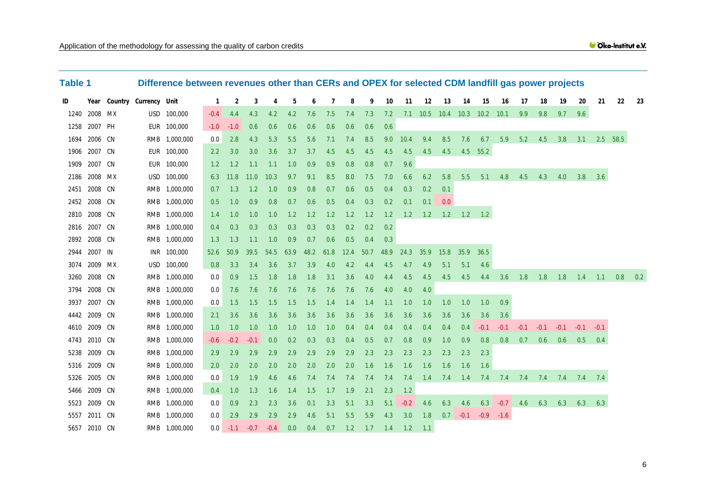<span id="page-5-0"></span>

| <b>Table 1</b> |              |                            | Difference between revenues other than CERs and OPEX for selected CDM landfill gas power projects |        |        |        |        |      |           |     |           |        |      |        |                              |     |                   |                      |                 |                   |                                         |        |              |        |     |      |
|----------------|--------------|----------------------------|---------------------------------------------------------------------------------------------------|--------|--------|--------|--------|------|-----------|-----|-----------|--------|------|--------|------------------------------|-----|-------------------|----------------------|-----------------|-------------------|-----------------------------------------|--------|--------------|--------|-----|------|
| ID             |              | Year Country Currency Unit |                                                                                                   | 1      | 2      | 3      | 4      | 5    | 6         |     | 8         | 9      | 10   | 11     | 12                           | 13  | 14                | 15                   | 16              | 17                | 18                                      | 19     | 20           | 21     | 22  | - 23 |
|                | 1240 2008 MX |                            | USD 100,000                                                                                       | $-0.4$ | 4.4    | 4.3    | 4.2    | 4.2  | 7.6       | 7.5 | 7.4       | 7.3    | 7.2  |        | 7.1 10.5 10.4 10.3 10.2 10.1 |     |                   |                      |                 | 9.9               | 9.8                                     | 9.7    | 9.6          |        |     |      |
|                | 1258 2007 PH |                            | EUR 100,000                                                                                       | $-1.0$ | $-1.0$ | 0.6    | 0.6    | 0.6  | 0.6       | 0.6 | 0.6       | 0.6    | 0.6  |        |                              |     |                   |                      |                 |                   |                                         |        |              |        |     |      |
| 1694           | 2006 CN      |                            | RMB 1,000,000                                                                                     | 0.0    | 2.8    | 4.3    | 5.3    | 5.5  | 5.6       | 7.1 | 7.4       | 8.5    | 9.0  | 10.4   | 9.4                          | 8.5 | 7.6               | 6.7                  |                 | $5.9$ $5.2$ $4.5$ |                                         | 3.8    | 3.1 2.5 58.5 |        |     |      |
|                | 1906 2007 CN |                            | EUR 100,000                                                                                       | 2.2    | 3.0    | 3.0    | 3.6    | 3.7  | 3.7       | 4.5 | 4.5       | 4.5    | 4.5  | 4.5    | 4.5                          | 4.5 |                   | 4.5 55.2             |                 |                   |                                         |        |              |        |     |      |
|                | 1909 2007 CN |                            | EUR 100,000                                                                                       | 1.2    | 1.2    | 1.1    | $-1.1$ | 1.0  | 0.9       | 0.9 | 0.8       | 0.8    | 0.7  | 9.6    |                              |     |                   |                      |                 |                   |                                         |        |              |        |     |      |
|                | 2186 2008 MX |                            | USD 100,000                                                                                       | 6.3    | 11.8   | 11.0   | 10.3   | 9.7  | 9.1       | 8.5 | 8.0       | 7.5    | 7.0  | 6.6    | 6.2                          | 5.8 |                   |                      | 5.5 5.1 4.8 4.5 |                   | 4.3                                     | 4.0    | 3.8          | 3.6    |     |      |
|                | 2451 2008 CN |                            | RMB 1,000,000                                                                                     | 0.7    | 1.3    | 1.2    | 1.0    | 0.9  | 0.8       | 0.7 | 0.6       | 0.5    | 0.4  | 0.3    | 0.2                          | 0.1 |                   |                      |                 |                   |                                         |        |              |        |     |      |
|                | 2452 2008 CN |                            | RMB 1,000,000                                                                                     | 0.5    | 1.0    | 0.9    | 0.8    | 0.7  | 0.6       | 0.5 | 0.4       | 0.3    | 0.2  | 0.1    | 0.1                          | 0.0 |                   |                      |                 |                   |                                         |        |              |        |     |      |
|                | 2810 2008 CN |                            | RMB 1,000,000                                                                                     | 1.4    | 1.0    | 1.0    | 1.0    | 1.2  | 1.2       | 1.2 | 1.2       | 1.2    | 1.2  | 1.2    | 1.2                          |     | $1.2$ $1.2$ $1.2$ |                      |                 |                   |                                         |        |              |        |     |      |
|                | 2816 2007 CN |                            | RMB 1,000,000                                                                                     | 0.4    | 0.3    | 0.3    | 0.3    | 0.3  | 0.3       | 0.3 | 0.2       | 0.2    | 0.2  |        |                              |     |                   |                      |                 |                   |                                         |        |              |        |     |      |
|                | 2892 2008 CN |                            | RMB 1,000,000                                                                                     | 1.3    | 1.3    | 1.1    | 1.0    | 0.9  | 0.7       | 0.6 | 0.5       | 0.4    | 0.3  |        |                              |     |                   |                      |                 |                   |                                         |        |              |        |     |      |
|                | 2944 2007 IN |                            | INR 100,000                                                                                       | 52.6   | 50.9   | 39.5   | 54.5   | 63.9 | 48.2 61.8 |     | 12.4 50.7 |        | 48.9 | 24.3   | 35.9                         |     | 15.8 35.9 36.5    |                      |                 |                   |                                         |        |              |        |     |      |
|                | 3074 2009 MX |                            | USD 100,000                                                                                       | 0.8    | 3.3    | 3.4    | 3.6    | 3.7  | 3.9       | 4.0 | 4.2       | 4.4    | 4.5  | 4.7    | 4.9                          | 5.1 | 5.1               | 4.6                  |                 |                   |                                         |        |              |        |     |      |
|                | 3260 2008 CN |                            | RMB 1,000,000                                                                                     | 0.0    | 0.9    | 1.5    | 1.8    | 1.8  | 1.8       | 3.1 | 3.6       | 4.0    | 4.4  | 4.5    | 4.5                          |     |                   |                      |                 |                   | 4.5 4.5 4.4 3.6 1.8 1.8 1.8             |        | 1.4          | $-1.1$ | 0.8 | 0.2  |
|                | 3794 2008 CN |                            | RMB 1,000,000                                                                                     | 0.0    | 7.6    | 7.6    | 7.6    | 7.6  | 7.6       | 7.6 | 7.6       | 7.6    | 4.0  | 4.0    | 4.0                          |     |                   |                      |                 |                   |                                         |        |              |        |     |      |
|                | 3937 2007 CN |                            | RMB 1,000,000                                                                                     | 0.0    | 1.5    | 1.5    | 1.5    | 1.5  | 1.5       | 1.4 | 1.4       | 1.4    | 1.1  | 1.0    | 1.0                          | 1.0 | 1.0               | 1.0                  | 0.9             |                   |                                         |        |              |        |     |      |
|                | 4442 2009 CN |                            | RMB 1,000,000                                                                                     | 2.1    | 3.6    | 3.6    | 3.6    | 3.6  | 3.6       | 3.6 | 3.6       | 3.6    | 3.6  | 3.6    | 3.6                          | 3.6 | 3.6               | 3.6                  | 3.6             |                   |                                         |        |              |        |     |      |
|                | 4610 2009 CN |                            | RMB 1,000,000                                                                                     | 1.0    | 1.0    | 1.0    | 1.0    | 1.0  | 1.0       | 1.0 | 0.4       | 0.4    | 0.4  | 0.4    | 0.4                          | 0.4 | 0.4               | $-0.1$               | $-0.1$          | $-0.1$            | $-0.1$                                  | $-0.1$ | $-0.1$       | $-0.1$ |     |      |
|                | 4743 2010 CN |                            | RMB 1,000,000                                                                                     | $-0.6$ | $-0.2$ | $-0.1$ | 0.0    | 0.2  | 0.3       | 0.3 | 0.4       | 0.5    | 0.7  | 0.8    | 0.9                          | 1.0 | 0.9               | 0.8                  | 0.8             | 0.7               | 0.6                                     | 0.6    | 0.5          | 0.4    |     |      |
|                | 5238 2009 CN |                            | RMB 1,000,000                                                                                     | 2.9    | 2.9    | 2.9    | 2.9    | 2.9  | 2.9       | 2.9 | 2.9       | 2.3    | 2.3  | 2.3    | 2.3                          | 2.3 | 2.3               | 2.3                  |                 |                   |                                         |        |              |        |     |      |
|                | 5316 2009 CN |                            | RMB 1,000,000                                                                                     | 2.0    | 2.0    | 2.0    | 2.0    | 2.0  | 2.0       | 2.0 | 2.0       | 1.6    | 1.6  | 1.6    | 1.6                          | 1.6 | 1.6               | 1.6                  |                 |                   |                                         |        |              |        |     |      |
|                | 5326 2005 CN |                            | RMB 1,000,000                                                                                     | 0.0    | 1.9    | 1.9    | 4.6    | 4.6  | 7.4       | 7.4 | 7.4       | 7.4    | 7.4  | 7.4    |                              |     |                   |                      |                 |                   | 1.4 7.4 1.4 7.4 7.4 7.4 7.4 7.4 7.4 7.4 |        |              |        |     |      |
|                | 5466 2009 CN |                            | RMB 1,000,000                                                                                     | 0.4    | 1.0    | 1.3    | 1.6    | 1.4  | 1.5       | 1.7 | 1.9       | 2.1    | 2.3  | 1.2    |                              |     |                   |                      |                 |                   |                                         |        |              |        |     |      |
|                | 5523 2009 CN |                            | RMB 1,000,000                                                                                     | 0.0    | 0.9    | 2.3    | 2.3    | 3.6  | 0.1       | 3.3 | 5.1       | 3.3    | 5.1  | $-0.2$ | 4.6                          | 6.3 | 4.6               |                      | $6.3 -0.7$      | $4.6$ 6.3         |                                         | 6.3    | 6.3          | 6.3    |     |      |
|                | 5557 2011 CN |                            | RMB 1,000,000                                                                                     | 0.0    | 2.9    | 2.9    | 2.9    | 2.9  | 4.6       | 5.1 | 5.5       | 5.9    | 4.3  | 3.0    | 1.8                          |     |                   | $0.7 -0.1 -0.9 -1.6$ |                 |                   |                                         |        |              |        |     |      |
|                | 5657 2010 CN |                            | RMB 1,000,000                                                                                     | 0.0    | $-1.1$ | $-0.7$ | $-0.4$ | 0.0  | 0.4       | 0.7 | 1.2       | $-1.7$ | 1.4  | $-1.2$ | $-1.1$                       |     |                   |                      |                 |                   |                                         |        |              |        |     |      |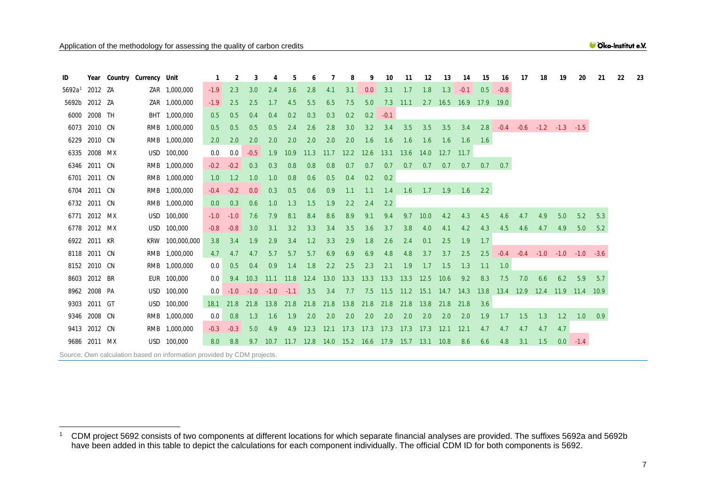#### <span id="page-6-1"></span>Cko-Institut e.V.

<span id="page-6-0"></span>

| ID                 |              | Year Country Currency Unit |                                                                        |                  |        |        |             |      |                |           |                |           | 10     | 11                                                              | 12         | 13          | 14                            | 15     | 16        | 17  | 18                                       | 19  | 20                                              | 21  | 22 |
|--------------------|--------------|----------------------------|------------------------------------------------------------------------|------------------|--------|--------|-------------|------|----------------|-----------|----------------|-----------|--------|-----------------------------------------------------------------|------------|-------------|-------------------------------|--------|-----------|-----|------------------------------------------|-----|-------------------------------------------------|-----|----|
| 5692a <sup>1</sup> | 2012 ZA      |                            | ZAR 1,000,000                                                          | $-1.9$           | 2.3    | 3.0    | 2.4         | 3.6  | 2.8            | 4.1       | 3.1            | 0.0       | 3.1    | 1.7                                                             | 1.8        | 1.3         | $-0.1$                        | 0.5    | $-0.8$    |     |                                          |     |                                                 |     |    |
| 5692b 2012 ZA      |              |                            | ZAR 1,000,000                                                          | $-1.9$           | 2.5    | 2.5    | 1.7         | 4.5  | 5.5            | 6.5       | 7.5            | 5.0       |        | 7.3 11.1 2.7 16.5 16.9 17.9 19.0                                |            |             |                               |        |           |     |                                          |     |                                                 |     |    |
|                    | 6000 2008 TH |                            | BHT 1,000,000                                                          | 0.5              | 0.5    | 0.4    | 0.4         | 0.2  | 0.3            | 0.3       | 0.2            | 0.2       | $-0.1$ |                                                                 |            |             |                               |        |           |     |                                          |     |                                                 |     |    |
|                    | 6073 2010 CN |                            | RMB 1,000,000                                                          | 0.5              | 0.5    | 0.5    | 0.5         | 2.4  | 2.6            | 2.8       | 3.0            | 3.2       | 3.4    | 3.5                                                             | 3.5        | 3.5         | 3.4                           |        |           |     | $2.8$ $-0.4$ $-0.6$ $-1.2$ $-1.3$ $-1.5$ |     |                                                 |     |    |
| 6229               | 2010 CN      |                            | RMB 1,000,000                                                          | 2.0              | 2.0    | 2.0    | 2.0         | 2.0  | 2.0            | 2.0       | 2.0            | 1.6       | 1.6    | 1.6                                                             | 1.6        | 1.6         | 1.6                           | 1.6    |           |     |                                          |     |                                                 |     |    |
|                    | 6335 2008 MX |                            | USD 100,000                                                            | 0.0              | 0.0    | $-0.5$ | 1.9         | 10.9 | 11.3           |           | 11.7 12.2 12.6 |           | 13.1   | 13.6 14.0                                                       |            | $12.7$ 11.7 |                               |        |           |     |                                          |     |                                                 |     |    |
|                    | 6346 2011 CN |                            | RMB 1,000,000                                                          | $-0.2$           | $-0.2$ | 0.3    | 0.3         | 0.8  | 0.8            | 0.8       | 0.7            | 0.7       | 0.7    | 0.7                                                             | 0.7        | 0.7         | 0.7                           |        | $0.7$ 0.7 |     |                                          |     |                                                 |     |    |
|                    | 6701 2011 CN |                            | RMB 1,000,000                                                          | 1.0              | 1.2    | 1.0    | 1.0         | 0.8  | 0.6            | 0.5       | 0.4            | 0.2       | 0.2    |                                                                 |            |             |                               |        |           |     |                                          |     |                                                 |     |    |
|                    | 6704 2011 CN |                            | RMB 1,000,000                                                          | $-0.4$           | $-0.2$ | 0.0    | 0.3         | 0.5  | 0.6            | 0.9       | 1.1            | 1.1       | 1.4    |                                                                 |            |             | $1.6$ $1.7$ $1.9$ $1.6$ $2.2$ |        |           |     |                                          |     |                                                 |     |    |
|                    | 6732 2011 CN |                            | RMB 1,000,000                                                          | 0.0              | 0.3    | 0.6    | 1.0         | 1.3  | 1.5            | 1.9       | 2.2            | 2.4       | 2.2    |                                                                 |            |             |                               |        |           |     |                                          |     |                                                 |     |    |
|                    | 6771 2012 MX |                            | USD 100,000                                                            | $-1.0$           | $-1.0$ | 7.6    | 7.9         | 8.1  | 8.4            | 8.6       | 8.9            | 9.1       | 9.4    |                                                                 | $9.7$ 10.0 | 4.2         | 4.3                           | 4.5    | 4.6       | 4.7 | 4.9                                      | 5.0 | 5.2                                             | 5.3 |    |
|                    | 6778 2012 MX | USD                        | 100,000                                                                | $-0.8$           | $-0.8$ | 3.0    | 3.1         | 3.2  | 3.3            | 3.4       | 3.5            | 3.6       | 3.7    | 3.8                                                             | 4.0        | 4.1         | 4.2                           | 4.3    | 4.5       | 4.6 | 4.7                                      | 4.9 | 5.0                                             | 5.2 |    |
|                    | 6922 2011 KR |                            | KRW 100,000,000                                                        | 3.8              | 3.4    | 1.9    | 2.9         | 3.4  | 1.2            | 3.3       | 2.9            | 1.8       | 2.6    | 2.4                                                             | 0.1        | 2.5         | 1.9                           | $-1.7$ |           |     |                                          |     |                                                 |     |    |
|                    | 8118 2011 CN |                            | RMB 1,000,000                                                          | 4.7              | 4.7    | 4.7    | 5.7         | 5.7  | 5.7            | 6.9       | 6.9            | 6.9       | 4.8    | 4.8                                                             | 3.7        |             | $3.7\quad 2.5$                |        |           |     |                                          |     | $2.5$ $-0.4$ $-0.4$ $-1.0$ $-1.0$ $-1.0$ $-3.6$ |     |    |
|                    | 8152 2010 CN |                            | RMB 1,000,000                                                          | 0.0              | 0.5    | 0.4    | 0.9         | 1.4  | 1.8            | 2.2       | 2.5            | 2.3       | 2.1    | 1.9                                                             | 1.7        | 1.5         | 1.3                           | 1.1    | 1.0       |     |                                          |     |                                                 |     |    |
|                    | 8603 2012 BR |                            | EUR 100,000                                                            | 0.0              | 9.4    | 10.3   | $-11.1$     | 11.8 | 12.4           | 13.0 13.3 |                | 13.3 13.3 |        | 13.3 12.5 10.6                                                  |            |             | 9.2                           | 8.3    | 7.5       | 7.0 | 6.6                                      | 6.2 | 5.9                                             | 5.7 |    |
|                    | 8962 2008 PA |                            | USD 100,000                                                            | 0.0 <sub>1</sub> | $-1.0$ | $-1.0$ | $-1.0 -1.1$ |      | 3.5            | 3.4       | 7.7            |           |        | 7.5 11.5 11.2 15.1 14.7 14.3 13.8 13.4 12.9 12.4 11.9 11.4 10.9 |            |             |                               |        |           |     |                                          |     |                                                 |     |    |
|                    | 9303 2011 GT |                            | USD 100,000                                                            | <b>18.1</b>      | 21.8   | 21.8   | 13.8        |      | 21.8 21.8 21.8 |           | 13.8           |           |        | 21.8 21.8 21.8 13.8 21.8 21.8                                   |            |             |                               | 3.6    |           |     |                                          |     |                                                 |     |    |
|                    | 9346 2008 CN |                            | RMB 1,000,000                                                          | 0.0              | 0.8    | 1.3    | 1.6         | 1.9  | 2.0            | 2.0       | 2.0            | 2.0       | 2.0    | 2.0                                                             | 2.0        | 2.0         | 2.0                           | 1.9    | 1.7       | 1.5 | 1.3                                      | 1.2 | 1.0                                             | 0.9 |    |
|                    | 9413 2012 CN |                            | RMB 1,000,000                                                          | $-0.3$           | $-0.3$ | 5.0    | 4.9         | 4.9  | 12.3           |           |                |           |        | 12.1 17.3 17.3 17.3 17.3 17.3 12.1 12.1                         |            |             |                               | 4.7    | 4.7       | 4.7 | 4.7                                      | 4.7 |                                                 |     |    |
|                    | 9686 2011 MX |                            | USD 100,000                                                            | 8.0 <sub>1</sub> | 8.8    | 9.7    |             |      |                |           |                |           |        | 10.7 11.7 12.8 14.0 15.2 16.6 17.9 15.7 13.1 10.8               |            |             | 8.6                           | 6.6    | 4.8       | 3.1 | 1.5                                      |     | $0.0 -1.4$                                      |     |    |
|                    |              |                            | Source: Own calculation based on information provided by CDM projects. |                  |        |        |             |      |                |           |                |           |        |                                                                 |            |             |                               |        |           |     |                                          |     |                                                 |     |    |

 CDM project 5692 consists of two components at different locations for which separate financial analyses are provided. The suffixes 5692a and 5692b have been added in this table to depict the calculations for each component individually. The official CDM ID for both components is 5692.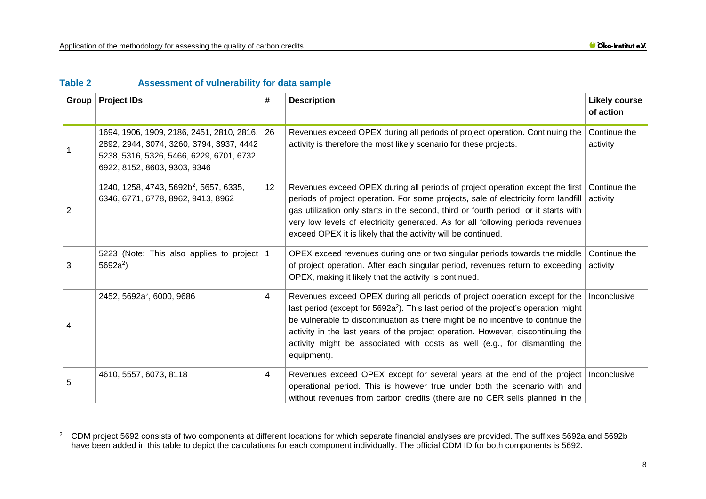<span id="page-7-2"></span>Cko-Institut e.V.

<span id="page-7-1"></span>

| <b>Table 2</b> | Assessment of vulnerability for data sample                                                                                                                        |             |                                                                                                                                                                                                                                                                                                                                                                                                                                                   |                                   |
|----------------|--------------------------------------------------------------------------------------------------------------------------------------------------------------------|-------------|---------------------------------------------------------------------------------------------------------------------------------------------------------------------------------------------------------------------------------------------------------------------------------------------------------------------------------------------------------------------------------------------------------------------------------------------------|-----------------------------------|
| Group          | <b>Project IDs</b>                                                                                                                                                 | #           | <b>Description</b>                                                                                                                                                                                                                                                                                                                                                                                                                                | <b>Likely course</b><br>of action |
|                | 1694, 1906, 1909, 2186, 2451, 2810, 2816,<br>2892, 2944, 3074, 3260, 3794, 3937, 4442<br>5238, 5316, 5326, 5466, 6229, 6701, 6732,<br>6922, 8152, 8603, 9303, 9346 | 26          | Revenues exceed OPEX during all periods of project operation. Continuing the<br>activity is therefore the most likely scenario for these projects.                                                                                                                                                                                                                                                                                                | Continue the<br>activity          |
| $\overline{2}$ | 1240, 1258, 4743, 5692b <sup>2</sup> , 5657, 6335,<br>6346, 6771, 6778, 8962, 9413, 8962                                                                           | 12          | Revenues exceed OPEX during all periods of project operation except the first Continue the<br>periods of project operation. For some projects, sale of electricity form landfill<br>gas utilization only starts in the second, third or fourth period, or it starts with<br>very low levels of electricity generated. As for all following periods revenues<br>exceed OPEX it is likely that the activity will be continued.                      | activity                          |
| 3              | 5223 (Note: This also applies to project<br>$5692a^2$ )                                                                                                            | $\mathbf 1$ | OPEX exceed revenues during one or two singular periods towards the middle<br>of project operation. After each singular period, revenues return to exceeding<br>OPEX, making it likely that the activity is continued.                                                                                                                                                                                                                            | Continue the<br>activity          |
| 4              | 2452, 5692a <sup>2</sup> , 6000, 9686                                                                                                                              | 4           | Revenues exceed OPEX during all periods of project operation except for the<br>last period (except for 5692a <sup>2</sup> ). This last period of the project's operation might<br>be vulnerable to discontinuation as there might be no incentive to continue the<br>activity in the last years of the project operation. However, discontinuing the<br>activity might be associated with costs as well (e.g., for dismantling the<br>equipment). | Inconclusive                      |
| 5              | 4610, 5557, 6073, 8118                                                                                                                                             | 4           | Revenues exceed OPEX except for several years at the end of the project   Inconclusive<br>operational period. This is however true under both the scenario with and<br>without revenues from carbon credits (there are no CER sells planned in the                                                                                                                                                                                                |                                   |

<span id="page-7-0"></span> $2$  CDM project 5692 consists of two components at different locations for which separate financial analyses are provided. The suffixes 5692a and 5692b have been added in this table to depict the calculations for each component individually. The official CDM ID for both components is 5692.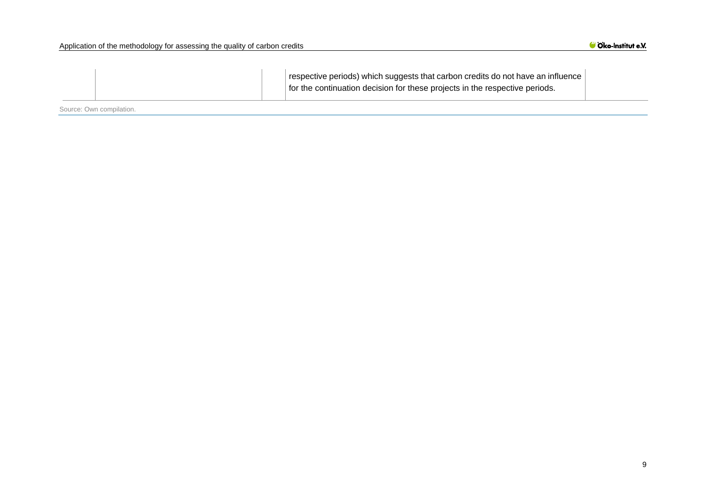| respective periods) which suggests that carbon credits do not have an influence |
|---------------------------------------------------------------------------------|
| for the continuation decision for these projects in the respective periods.     |

Source: Own compilation.